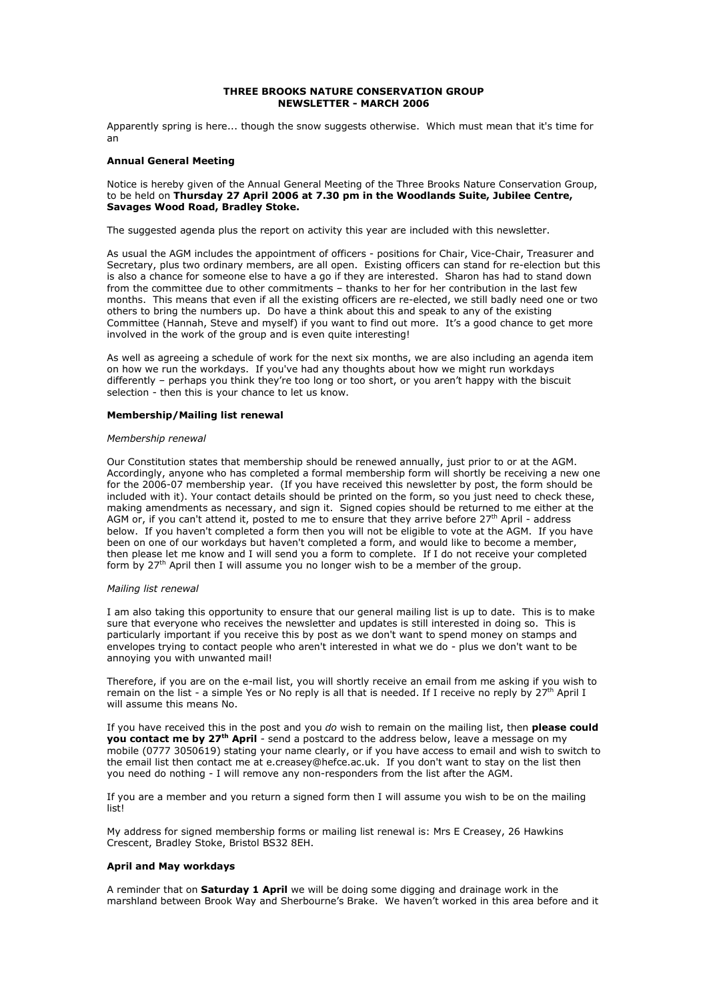#### THREE BROOKS NATURE CONSERVATION GROUP NEWSLETTER - MARCH 2006

Apparently spring is here... though the snow suggests otherwise. Which must mean that it's time for an

### Annual General Meeting

Notice is hereby given of the Annual General Meeting of the Three Brooks Nature Conservation Group, to be held on Thursday 27 April 2006 at 7.30 pm in the Woodlands Suite, Jubilee Centre, Savages Wood Road, Bradley Stoke.

The suggested agenda plus the report on activity this year are included with this newsletter.

As usual the AGM includes the appointment of officers - positions for Chair, Vice-Chair, Treasurer and Secretary, plus two ordinary members, are all open. Existing officers can stand for re-election but this is also a chance for someone else to have a go if they are interested. Sharon has had to stand down from the committee due to other commitments – thanks to her for her contribution in the last few months. This means that even if all the existing officers are re-elected, we still badly need one or two others to bring the numbers up. Do have a think about this and speak to any of the existing Committee (Hannah, Steve and myself) if you want to find out more. It's a good chance to get more involved in the work of the group and is even quite interesting!

As well as agreeing a schedule of work for the next six months, we are also including an agenda item on how we run the workdays. If you've had any thoughts about how we might run workdays differently – perhaps you think they're too long or too short, or you aren't happy with the biscuit selection - then this is your chance to let us know.

### Membership/Mailing list renewal

#### Membership renewal

Our Constitution states that membership should be renewed annually, just prior to or at the AGM. Accordingly, anyone who has completed a formal membership form will shortly be receiving a new one for the 2006-07 membership year. (If you have received this newsletter by post, the form should be included with it). Your contact details should be printed on the form, so you just need to check these, making amendments as necessary, and sign it. Signed copies should be returned to me either at the AGM or, if you can't attend it, posted to me to ensure that they arrive before 27<sup>th</sup> April - address below. If you haven't completed a form then you will not be eligible to vote at the AGM. If you have been on one of our workdays but haven't completed a form, and would like to become a member, then please let me know and I will send you a form to complete. If I do not receive your completed form by 27<sup>th</sup> April then I will assume you no longer wish to be a member of the group.

### Mailing list renewal

I am also taking this opportunity to ensure that our general mailing list is up to date. This is to make sure that everyone who receives the newsletter and updates is still interested in doing so. This is particularly important if you receive this by post as we don't want to spend money on stamps and envelopes trying to contact people who aren't interested in what we do - plus we don't want to be annoying you with unwanted mail!

Therefore, if you are on the e-mail list, you will shortly receive an email from me asking if you wish to remain on the list - a simple Yes or No reply is all that is needed. If I receive no reply by 27<sup>th</sup> April I will assume this means No.

If you have received this in the post and you do wish to remain on the mailing list, then please could you contact me by 27th April - send a postcard to the address below, leave a message on my mobile (0777 3050619) stating your name clearly, or if you have access to email and wish to switch to the email list then contact me at e.creasey@hefce.ac.uk. If you don't want to stay on the list then you need do nothing - I will remove any non-responders from the list after the AGM.

If you are a member and you return a signed form then I will assume you wish to be on the mailing list!

My address for signed membership forms or mailing list renewal is: Mrs E Creasey, 26 Hawkins Crescent, Bradley Stoke, Bristol BS32 8EH.

### April and May workdays

A reminder that on **Saturday 1 April** we will be doing some digging and drainage work in the marshland between Brook Way and Sherbourne's Brake. We haven't worked in this area before and it